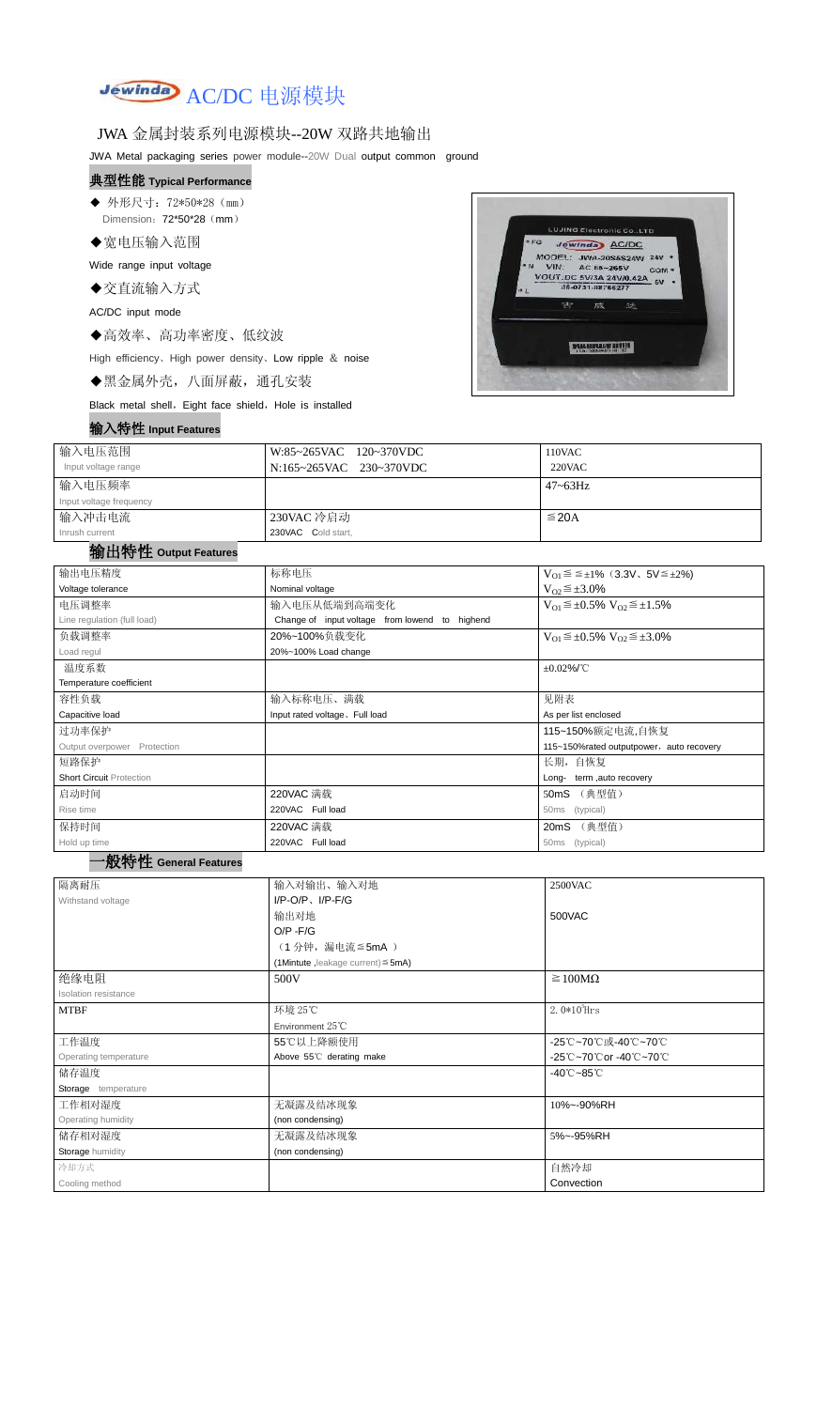

## JWA 金属封装系列电源模块--20W 双路共地输出

JWA Metal packaging series power module--20W Dual output common ground

#### 典型性能 **Typical Performance**

◆ 外形尺寸: 72\*50\*28 (mm) Dimension: 72\*50\*28 (mm)

◆宽电压输入范围

Wide range input voltage

◆交直流输入方式

AC/DC input mode

◆高效率、高功率密度、低纹波

High efficiency、High power density、Low ripple & noise

◆黑金属外壳,八面屏蔽,通孔安装

Black metal shell, Eight face shield, Hole is installed

#### 输入特性 **Input Features**



| 输入电压范围<br>Input voltage range | W:85~265VAC 120~370VDC<br>N:165~265VAC 230~370VDC | 110VAC<br>220VAC |  |
|-------------------------------|---------------------------------------------------|------------------|--|
| <sup>!</sup> 输入电压频率           |                                                   | $47 - 63$ Hz     |  |
| Input voltage frequency       |                                                   |                  |  |
| 输入冲击电流                        | 230VAC 冷启动                                        | $\leq$ 20A       |  |
| Inrush current                | 230VAC Cold start,                                |                  |  |

#### 输出特性 **Output Features**

一般特性 **General Features**

| 输出电压精度                                                | 标称电压                                              | $V_{01} \le \le \pm 1\%$ (3.3V, 5V $\le \pm 2\%$ )    |  |  |
|-------------------------------------------------------|---------------------------------------------------|-------------------------------------------------------|--|--|
| Voltage tolerance                                     | Nominal voltage                                   | $V_{O2} \leq \pm 3.0\%$                               |  |  |
| 电压调整率                                                 | 输入电压从低端到高端变化                                      | $V_{O1} \leq \pm 0.5\% \text{ V}_{O2} \leq \pm 1.5\%$ |  |  |
| Line regulation (full load)                           | Change of input voltage from lowend to highend    |                                                       |  |  |
| 负载调整率                                                 | 20%~100%负载变化                                      | $V_{O1} \leq \pm 0.5\% \text{ V}_{O2} \leq \pm 3.0\%$ |  |  |
| Load regul                                            | 20%~100% Load change                              |                                                       |  |  |
| 温度系数                                                  |                                                   | $\pm 0.02\%$ /°C                                      |  |  |
| Temperature coefficient                               |                                                   |                                                       |  |  |
| 容性负载                                                  | 输入标称电压、满载                                         | 见附表                                                   |  |  |
| Capacitive load                                       | Input rated voltage. Full load                    | As per list enclosed                                  |  |  |
| 过功率保护                                                 |                                                   | 115~150%额定电流,自恢复                                      |  |  |
| Output overpower<br>Protection                        |                                                   | 115~150% rated outputpower, auto recovery             |  |  |
| 短路保护                                                  |                                                   | 长期, 自恢复                                               |  |  |
| <b>Short Circuit Protection</b>                       |                                                   | term, auto recovery<br>Long-                          |  |  |
| 启动时间<br>220VAC 满载                                     |                                                   | 50mS (典型值)                                            |  |  |
| Rise time                                             | 220VAC Full load<br>(typical)<br>50 <sub>ms</sub> |                                                       |  |  |
| 保持时间                                                  | 220VAC 满载                                         | 20mS (典型值)                                            |  |  |
| 220VAC Full load<br>Hold up time<br>(typical)<br>50ms |                                                   |                                                       |  |  |

| 隔离耐压                    | 输入对输出、输入对地                                 | 2500VAC                         |  |
|-------------------------|--------------------------------------------|---------------------------------|--|
| Withstand voltage       | $I/P-O/P$ , $I/P-F/G$                      |                                 |  |
|                         | 输出对地                                       | 500VAC                          |  |
|                         | $O/P - F/G$                                |                                 |  |
|                         | (1分钟,漏电流≦5mA)                              |                                 |  |
|                         | $(1$ Mintute, leakage current) $\leq$ 5mA) |                                 |  |
| 绝缘电阻                    | 500V                                       | $\geq 100M\Omega$               |  |
| Isolation resistance    |                                            |                                 |  |
| <b>MTBF</b>             | 环境 25℃                                     | 2. $0*10^5$ Hrs                 |  |
|                         | Environment $25^{\circ}$ C                 |                                 |  |
| 工作温度                    | 55℃以上降额使用                                  | -25℃~70℃或-40℃~70℃               |  |
| Operating temperature   | Above 55°C derating make                   | -25℃~70℃or -40℃~70℃             |  |
| 储存温度                    |                                            | $-40^{\circ}$ C $-85^{\circ}$ C |  |
| Storage temperature     |                                            |                                 |  |
| 工作相对湿度                  | 无凝露及结冰现象                                   | 10%~-90%RH                      |  |
| Operating humidity      | (non condensing)                           |                                 |  |
| 储存相对湿度                  | 无凝露及结冰现象                                   | 5%~-95%RH                       |  |
| <b>Storage humidity</b> | (non condensing)                           |                                 |  |
| 冷却方式                    |                                            | 自然冷却                            |  |
| Cooling method          |                                            | Convection                      |  |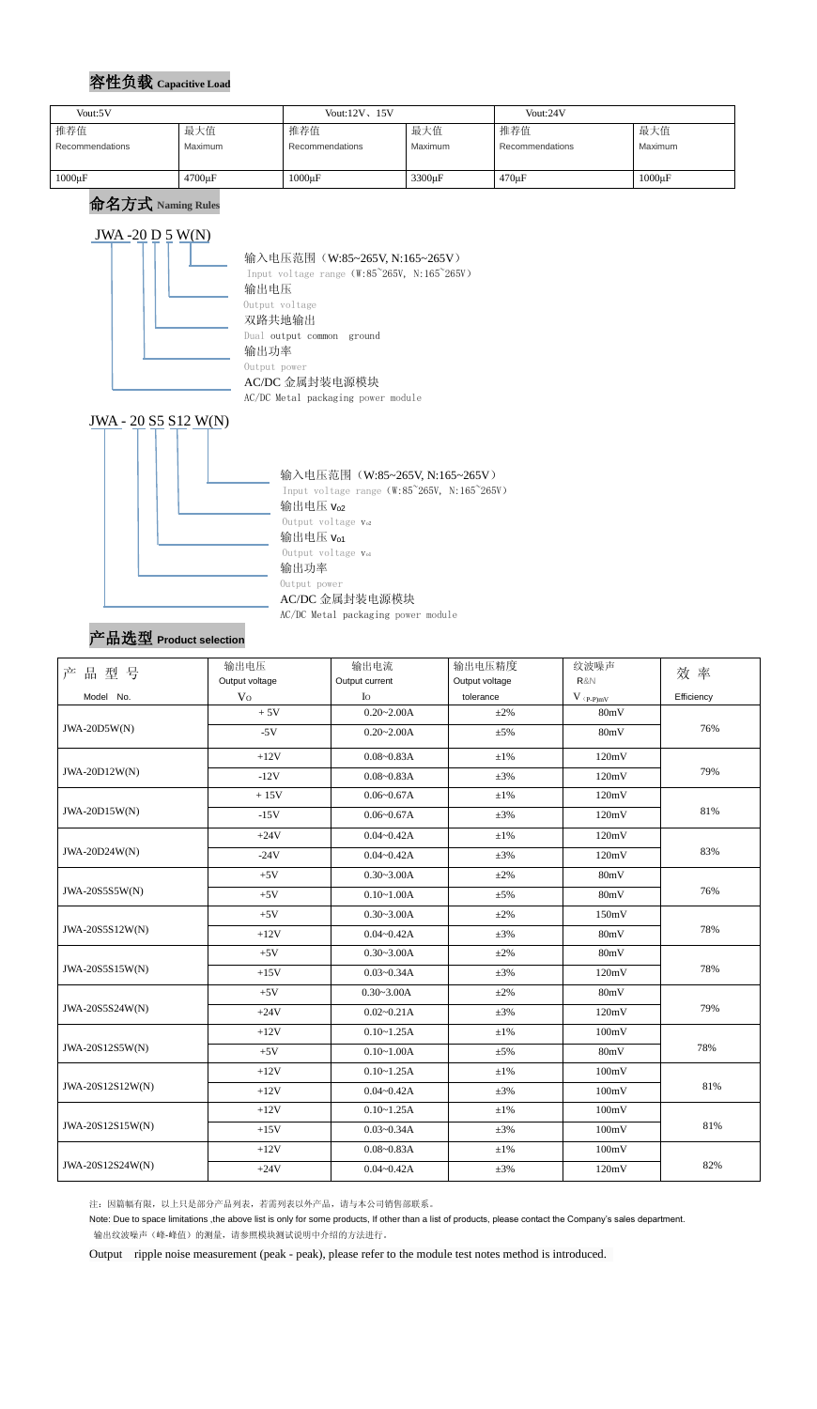## 容性负载 **Capacitive Load**

命名方式 **Naming Rules**

#### JWA-20  $D$  5 W(N) 输入电压范围(W:85~265V, N:165~265V) Input voltage range (W:85~265V, N:165~265V) 输出电压 Output voltage 双路共地输出 Dual output common ground 输出功率 Output power AC/DC 金属封装电源模块

AC/DC Metal packaging power module





AC/DC Metal packaging power module

## 产品选型 **Product selection**

注:因篇幅有限,以上只是部分产品列表,若需列表以外产品,请与本公司销售部联系。

Note: Due to space limitations ,the above list is only for some products, If other than a list of products, please contact the Company's sales department. 输出纹波噪声(峰-峰值)的测量,请参照模块测试说明中介绍的方法进行。

Output ripple noise measurement (peak - peak), please refer to the module test notes method is introduced.

| Vout:5V         |                     | Vout: $12V$ , $15V$ |                    | Vout:24V        |             |
|-----------------|---------------------|---------------------|--------------------|-----------------|-------------|
| 推荐值             | 最大值                 | 推荐值                 | 最大值                | 推荐值             | 最大值         |
| Recommendations | <b>Maximum</b>      | Recommendations     | Maximum            | Recommendations | Maximum     |
|                 |                     |                     |                    |                 |             |
| $1000\mu F$     | 4700 <sub>u</sub> F | $1000\mu F$         | 3300 <sub>µF</sub> | $470 \mu F$     | $1000\mu F$ |

| 品型号<br>产         | 输出电压           | 输出电流           | 输出电压精度         | 纹波噪声                    | 效率         |  |
|------------------|----------------|----------------|----------------|-------------------------|------------|--|
|                  | Output voltage | Output current | Output voltage | R&N                     |            |  |
| Model No.        | V <sub>O</sub> | $I_{\rm O}$    | tolerance      | $V$ $_{(P\text{-}P)mV}$ | Efficiency |  |
|                  | $+5V$          | $0.20 - 2.00A$ | $\pm 2\%$      | 80mV                    |            |  |
| $JWA-20D5W(N)$   | $-5V$          | $0.20 - 2.00A$ | $\pm 5\%$      |                         | 76%        |  |
|                  | $+12V$         | $0.08 - 0.83A$ | $\pm 1\%$      | 120mV                   |            |  |
| JWA-20D12W(N)    | $-12V$         | $0.08 - 0.83A$ | $\pm 3\%$      | 120mV                   | 79%        |  |
|                  | $+15V$         | $0.06 - 0.67A$ | $\pm 1\%$      | 120mV                   |            |  |
| JWA-20D15W(N)    | $-15V$         | $0.06 - 0.67A$ | $\pm 3\%$      | 120mV                   | 81%        |  |
|                  | $+24V$         | $0.04 - 0.42A$ | $\pm 1\%$      | 120mV                   |            |  |
| JWA-20D24W(N)    | $-24V$         | $0.04 - 0.42A$ | $\pm 3\%$      | 120mV                   | 83%        |  |
|                  | $+5V$          | $0.30 - 3.00A$ | $\pm 2\%$      | 80mV                    |            |  |
| JWA-20S5S5W(N)   | $+5V$          | $0.10 - 1.00A$ | $\pm$ 5%       | 80mV                    | 76%        |  |
|                  | $+5V$          | $0.30 - 3.00A$ | $\pm 2\%$      | 150mV                   |            |  |
| JWA-20S5S12W(N)  | $+12V$         | $0.04 - 0.42A$ | $\pm 3\%$      | 80mV                    | 78%        |  |
|                  | $+5V$          | $0.30 - 3.00A$ | $\pm 2\%$      | 80mV                    |            |  |
| JWA-20S5S15W(N)  | $+15V$         | $0.03 - 0.34A$ | $\pm 3\%$      | 120mV                   | 78%        |  |
|                  | $+5V$          | $0.30 - 3.00A$ | $\pm 2\%$      | 80mV                    |            |  |
| JWA-20S5S24W(N)  | $+24V$         | $0.02 - 0.21A$ | $\pm 3\%$      | 120mV                   | 79%        |  |
|                  | $+12V$         | $0.10 - 1.25A$ | $\pm 1\%$      | 100mV                   |            |  |
| JWA-20S12S5W(N)  | $+5V$          | $0.10 - 1.00A$ | $\pm$ 5%       | 80mV                    | 78%        |  |
|                  | $+12V$         | $0.10 - 1.25A$ | $\pm 1\%$      | 100mV                   |            |  |
| JWA-20S12S12W(N) | $+12V$         | $0.04 - 0.42A$ | $\pm 3\%$      | 100mV                   | 81%        |  |
|                  | $+12V$         | $0.10 - 1.25A$ | $\pm 1\%$      | 100mV                   |            |  |
| JWA-20S12S15W(N) | $+15V$         | $0.03 - 0.34A$ | $\pm 3\%$      | 100mV                   | 81%        |  |
|                  | $+12V$         | $0.08 - 0.83A$ | $\pm 1\%$      | 100mV                   |            |  |
| JWA-20S12S24W(N) | $+24V$         | $0.04 - 0.42A$ | $\pm 3\%$      | 120mV                   | 82%        |  |